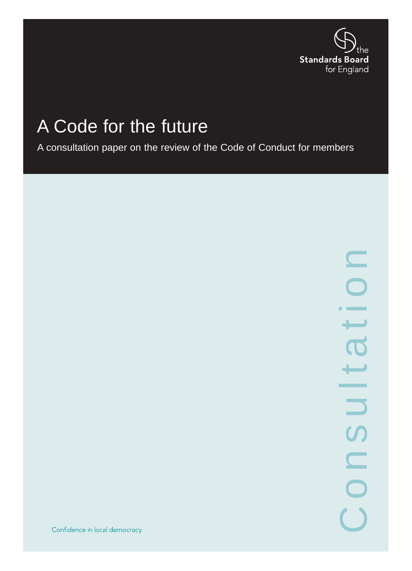

# A Code for the future

A consultation paper on the review of the Code of Conduct for members

 $\mathbf{C}$ Consultationسب ┷ \_\_\_  $\overline{\phantom{0}}$ **S** CON

Confidence in local democracy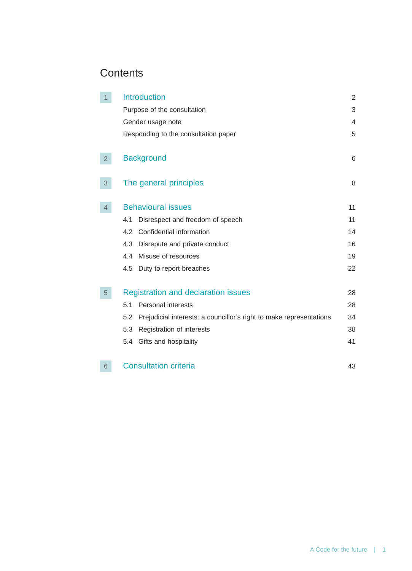# **Contents**

| 1              | <b>Introduction</b>                                                        | $\overline{2}$ |
|----------------|----------------------------------------------------------------------------|----------------|
|                | Purpose of the consultation                                                | 3              |
|                | Gender usage note                                                          | 4              |
|                | Responding to the consultation paper                                       | 5              |
| 2 <sup>1</sup> | <b>Background</b>                                                          | 6              |
| 3              | The general principles                                                     | 8              |
| 4              | <b>Behavioural issues</b>                                                  | 11             |
|                | Disrespect and freedom of speech<br>4.1                                    | 11             |
|                | Confidential information<br>4.2                                            | 14             |
|                | Disrepute and private conduct<br>4.3                                       | 16             |
|                | Misuse of resources<br>4.4                                                 | 19             |
|                | Duty to report breaches<br>4.5                                             | 22             |
| 5 <sup>5</sup> | <b>Registration and declaration issues</b>                                 | 28             |
|                | Personal interests<br>5.1                                                  | 28             |
|                | Prejudicial interests: a councillor's right to make representations<br>5.2 | 34             |
|                | Registration of interests<br>5.3                                           | 38             |
|                | Gifts and hospitality<br>5.4                                               | 41             |
| 6              | <b>Consultation criteria</b>                                               | 43             |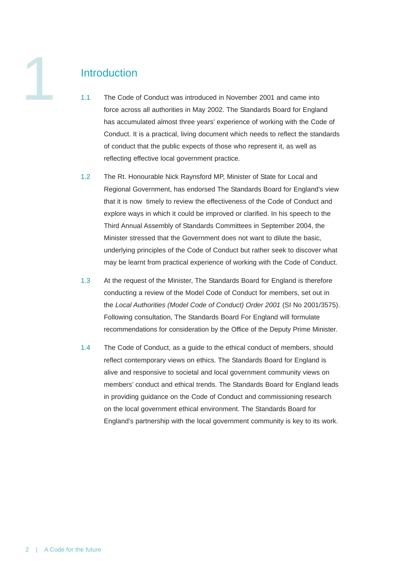

# **Introduction**

- 1.1 The Code of Conduct was introduced in November 2001 and came into force across all authorities in May 2002. The Standards Board for England has accumulated almost three years' experience of working with the Code of Conduct. It is a practical, living document which needs to reflect the standards of conduct that the public expects of those who represent it, as well as reflecting effective local government practice.
- 1.2 The Rt. Honourable Nick Raynsford MP, Minister of State for Local and Regional Government, has endorsed The Standards Board for England's view that it is now timely to review the effectiveness of the Code of Conduct and explore ways in which it could be improved or clarified. In his speech to the Third Annual Assembly of Standards Committees in September 2004, the Minister stressed that the Government does not want to dilute the basic, underlying principles of the Code of Conduct but rather seek to discover what may be learnt from practical experience of working with the Code of Conduct.
- 1.3 At the request of the Minister, The Standards Board for England is therefore conducting a review of the Model Code of Conduct for members, set out in the *Local Authorities (Model Code of Conduct) Order 2001* (SI No 2001/3575). Following consultation, The Standards Board For England will formulate recommendations for consideration by the Office of the Deputy Prime Minister.
- 1.4 The Code of Conduct, as a guide to the ethical conduct of members, should reflect contemporary views on ethics. The Standards Board for England is alive and responsive to societal and local government community views on members' conduct and ethical trends. The Standards Board for England leads in providing guidance on the Code of Conduct and commissioning research on the local government ethical environment. The Standards Board for England's partnership with the local government community is key to its work.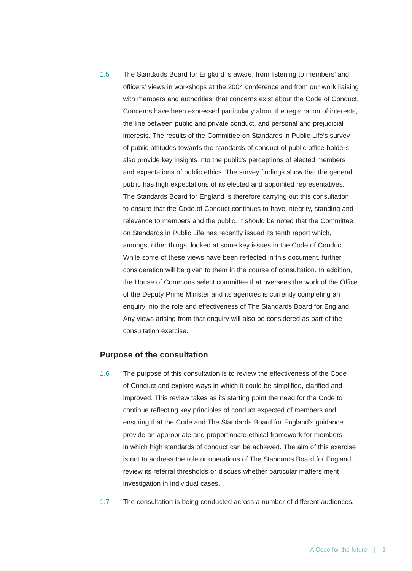1.5 The Standards Board for England is aware, from listening to members' and officers' views in workshops at the 2004 conference and from our work liaising with members and authorities, that concerns exist about the Code of Conduct. Concerns have been expressed particularly about the registration of interests, the line between public and private conduct, and personal and prejudicial interests. The results of the Committee on Standards in Public Life's survey of public attitudes towards the standards of conduct of public office-holders also provide key insights into the public's perceptions of elected members and expectations of public ethics. The survey findings show that the general public has high expectations of its elected and appointed representatives. The Standards Board for England is therefore carrying out this consultation to ensure that the Code of Conduct continues to have integrity, standing and relevance to members and the public. It should be noted that the Committee on Standards in Public Life has recently issued its tenth report which, amongst other things, looked at some key issues in the Code of Conduct. While some of these views have been reflected in this document, further consideration will be given to them in the course of consultation. In addition, the House of Commons select committee that oversees the work of the Office of the Deputy Prime Minister and its agencies is currently completing an enquiry into the role and effectiveness of The Standards Board for England. Any views arising from that enquiry will also be considered as part of the consultation exercise.

#### **Purpose of the consultation**

- 1.6 The purpose of this consultation is to review the effectiveness of the Code of Conduct and explore ways in which it could be simplified, clarified and improved. This review takes as its starting point the need for the Code to continue reflecting key principles of conduct expected of members and ensuring that the Code and The Standards Board for England's guidance provide an appropriate and proportionate ethical framework for members in which high standards of conduct can be achieved. The aim of this exercise is not to address the role or operations of The Standards Board for England, review its referral thresholds or discuss whether particular matters merit investigation in individual cases.
- 1.7 The consultation is being conducted across a number of different audiences.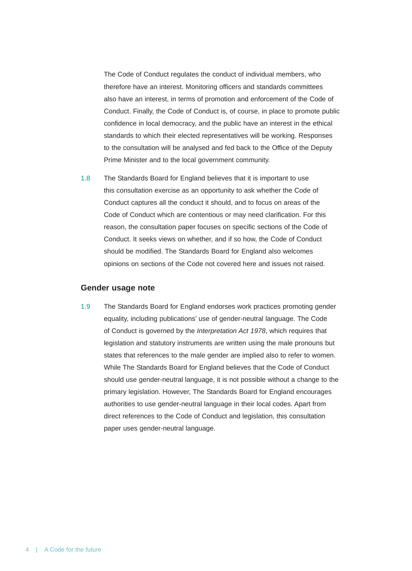The Code of Conduct regulates the conduct of individual members, who therefore have an interest. Monitoring officers and standards committees also have an interest, in terms of promotion and enforcement of the Code of Conduct. Finally, the Code of Conduct is, of course, in place to promote public confidence in local democracy, and the public have an interest in the ethical standards to which their elected representatives will be working. Responses to the consultation will be analysed and fed back to the Office of the Deputy Prime Minister and to the local government community.

1.8 The Standards Board for England believes that it is important to use this consultation exercise as an opportunity to ask whether the Code of Conduct captures all the conduct it should, and to focus on areas of the Code of Conduct which are contentious or may need clarification. For this reason, the consultation paper focuses on specific sections of the Code of Conduct. It seeks views on whether, and if so how, the Code of Conduct should be modified. The Standards Board for England also welcomes opinions on sections of the Code not covered here and issues not raised.

#### **Gender usage note**

1.9 The Standards Board for England endorses work practices promoting gender equality, including publications' use of gender-neutral language. The Code of Conduct is governed by the *Interpretation Act 1978*, which requires that legislation and statutory instruments are written using the male pronouns but states that references to the male gender are implied also to refer to women. While The Standards Board for England believes that the Code of Conduct should use gender-neutral language, it is not possible without a change to the primary legislation. However, The Standards Board for England encourages authorities to use gender-neutral language in their local codes. Apart from direct references to the Code of Conduct and legislation, this consultation paper uses gender-neutral language.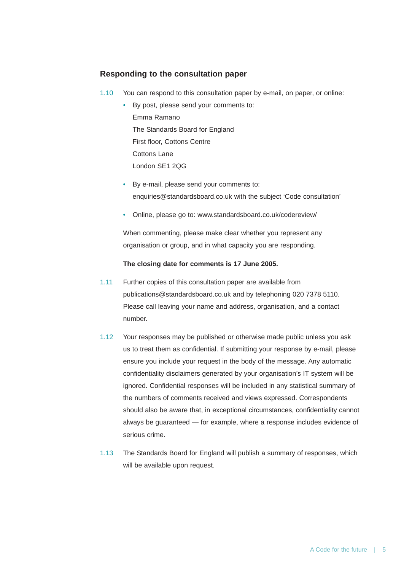# **Responding to the consultation paper**

1.10 You can respond to this consultation paper by e-mail, on paper, or online:

• By post, please send your comments to: Emma Ramano The Standards Board for England First floor, Cottons Centre Cottons Lane London SE1 2QG

- By e-mail, please send your comments to: enquiries@standardsboard.co.uk with the subject 'Code consultation'
- Online, please go to: www.standardsboard.co.uk/codereview/

When commenting, please make clear whether you represent any organisation or group, and in what capacity you are responding.

#### **The closing date for comments is 17 June 2005.**

- 1.11 Further copies of this consultation paper are available from publications@standardsboard.co.uk and by telephoning 020 7378 5110. Please call leaving your name and address, organisation, and a contact number.
- 1.12 Your responses may be published or otherwise made public unless you ask us to treat them as confidential. If submitting your response by e-mail, please ensure you include your request in the body of the message. Any automatic confidentiality disclaimers generated by your organisation's IT system will be ignored. Confidential responses will be included in any statistical summary of the numbers of comments received and views expressed. Correspondents should also be aware that, in exceptional circumstances, confidentiality cannot always be guaranteed — for example, where a response includes evidence of serious crime.
- 1.13 The Standards Board for England will publish a summary of responses, which will be available upon request.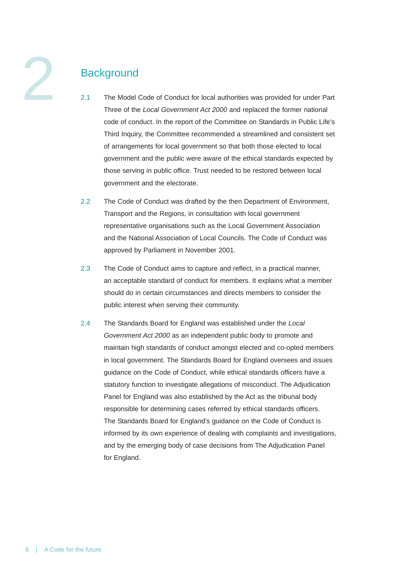# **Background**

- 2.1 The Model Code of Conduct for local authorities was provided for under Part Three of the *Local Government Act 2000* and replaced the former national code of conduct. In the report of the Committee on Standards in Public Life's Third Inquiry, the Committee recommended a streamlined and consistent set of arrangements for local government so that both those elected to local government and the public were aware of the ethical standards expected by those serving in public office. Trust needed to be restored between local government and the electorate.
- 2.2 The Code of Conduct was drafted by the then Department of Environment, Transport and the Regions, in consultation with local government representative organisations such as the Local Government Association and the National Association of Local Councils. The Code of Conduct was approved by Parliament in November 2001.
- 2.3 The Code of Conduct aims to capture and reflect, in a practical manner, an acceptable standard of conduct for members. It explains what a member should do in certain circumstances and directs members to consider the public interest when serving their community.
- 2.4 The Standards Board for England was established under the *Local Government Act 2000* as an independent public body to promote and maintain high standards of conduct amongst elected and co-opted members in local government. The Standards Board for England oversees and issues guidance on the Code of Conduct, while ethical standards officers have a statutory function to investigate allegations of misconduct. The Adjudication Panel for England was also established by the Act as the tribunal body responsible for determining cases referred by ethical standards officers. The Standards Board for England's guidance on the Code of Conduct is informed by its own experience of dealing with complaints and investigations, and by the emerging body of case decisions from The Adjudication Panel for England.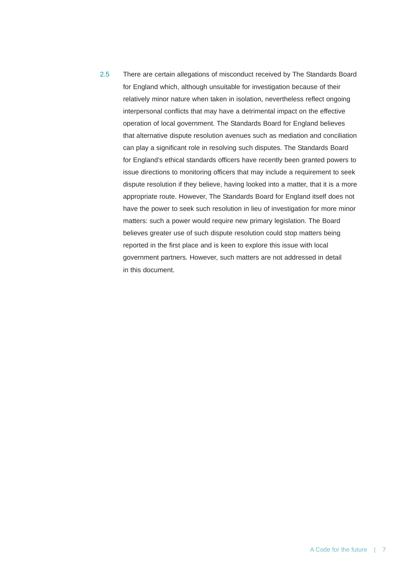2.5 There are certain allegations of misconduct received by The Standards Board for England which, although unsuitable for investigation because of their relatively minor nature when taken in isolation, nevertheless reflect ongoing interpersonal conflicts that may have a detrimental impact on the effective operation of local government. The Standards Board for England believes that alternative dispute resolution avenues such as mediation and conciliation can play a significant role in resolving such disputes. The Standards Board for England's ethical standards officers have recently been granted powers to issue directions to monitoring officers that may include a requirement to seek dispute resolution if they believe, having looked into a matter, that it is a more appropriate route. However, The Standards Board for England itself does not have the power to seek such resolution in lieu of investigation for more minor matters: such a power would require new primary legislation. The Board believes greater use of such dispute resolution could stop matters being reported in the first place and is keen to explore this issue with local government partners. However, such matters are not addressed in detail in this document.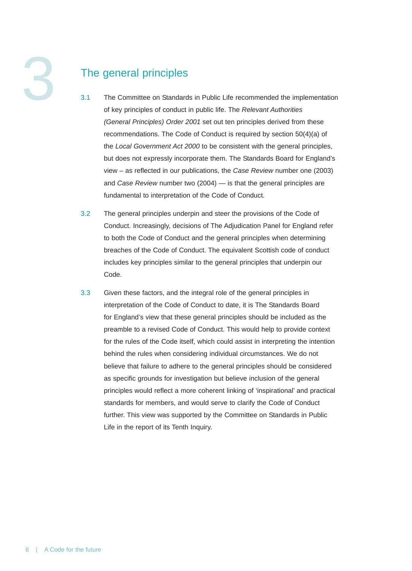# The general principles

- 3.1 The Committee on Standards in Public Life recommended the implementation of key principles of conduct in public life. The *Relevant Authorities (General Principles) Order 2001* set out ten principles derived from these recommendations. The Code of Conduct is required by section 50(4)(a) of the *Local Government Act 2000* to be consistent with the general principles, but does not expressly incorporate them. The Standards Board for England's view – as reflected in our publications, the *Case Review* number one (2003) and *Case Review* number two (2004) — is that the general principles are fundamental to interpretation of the Code of Conduct.
- 3.2 The general principles underpin and steer the provisions of the Code of Conduct. Increasingly, decisions of The Adjudication Panel for England refer to both the Code of Conduct and the general principles when determining breaches of the Code of Conduct. The equivalent Scottish code of conduct includes key principles similar to the general principles that underpin our Code.
- 3.3 Given these factors, and the integral role of the general principles in interpretation of the Code of Conduct to date, it is The Standards Board for England's view that these general principles should be included as the preamble to a revised Code of Conduct. This would help to provide context for the rules of the Code itself, which could assist in interpreting the intention behind the rules when considering individual circumstances. We do not believe that failure to adhere to the general principles should be considered as specific grounds for investigation but believe inclusion of the general principles would reflect a more coherent linking of 'inspirational' and practical standards for members, and would serve to clarify the Code of Conduct further. This view was supported by the Committee on Standards in Public Life in the report of its Tenth Inquiry.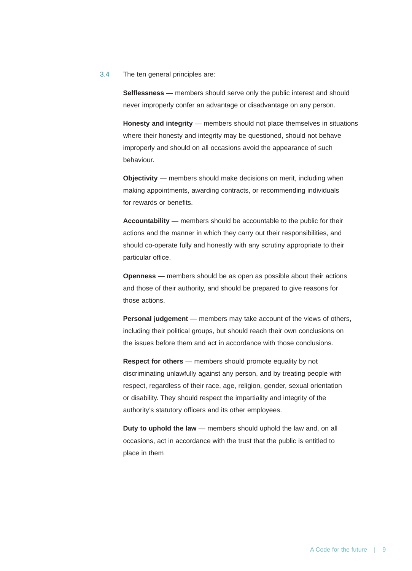#### 3.4 The ten general principles are:

**Selflessness** — members should serve only the public interest and should never improperly confer an advantage or disadvantage on any person.

**Honesty and integrity** — members should not place themselves in situations where their honesty and integrity may be questioned, should not behave improperly and should on all occasions avoid the appearance of such behaviour.

**Objectivity** — members should make decisions on merit, including when making appointments, awarding contracts, or recommending individuals for rewards or benefits.

**Accountability** — members should be accountable to the public for their actions and the manner in which they carry out their responsibilities, and should co-operate fully and honestly with any scrutiny appropriate to their particular office.

**Openness** — members should be as open as possible about their actions and those of their authority, and should be prepared to give reasons for those actions.

**Personal judgement** — members may take account of the views of others, including their political groups, but should reach their own conclusions on the issues before them and act in accordance with those conclusions.

**Respect for others** — members should promote equality by not discriminating unlawfully against any person, and by treating people with respect, regardless of their race, age, religion, gender, sexual orientation or disability. They should respect the impartiality and integrity of the authority's statutory officers and its other employees.

**Duty to uphold the law** — members should uphold the law and, on all occasions, act in accordance with the trust that the public is entitled to place in them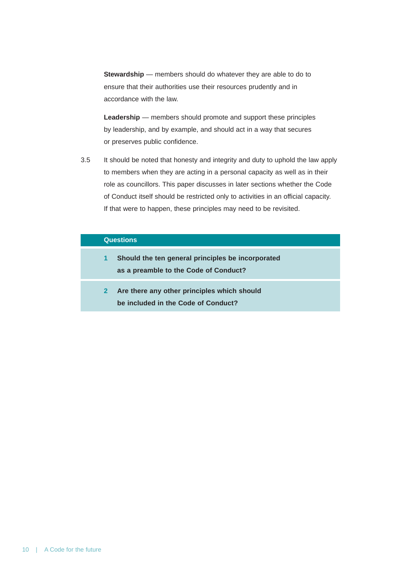**Stewardship** — members should do whatever they are able to do to ensure that their authorities use their resources prudently and in accordance with the law.

**Leadership** — members should promote and support these principles by leadership, and by example, and should act in a way that secures or preserves public confidence.

3.5 It should be noted that honesty and integrity and duty to uphold the law apply to members when they are acting in a personal capacity as well as in their role as councillors. This paper discusses in later sections whether the Code of Conduct itself should be restricted only to activities in an official capacity. If that were to happen, these principles may need to be revisited.

#### **Questions**

- **1 Should the ten general principles be incorporated as a preamble to the Code of Conduct?**
- **2 Are there any other principles which should be included in the Code of Conduct?**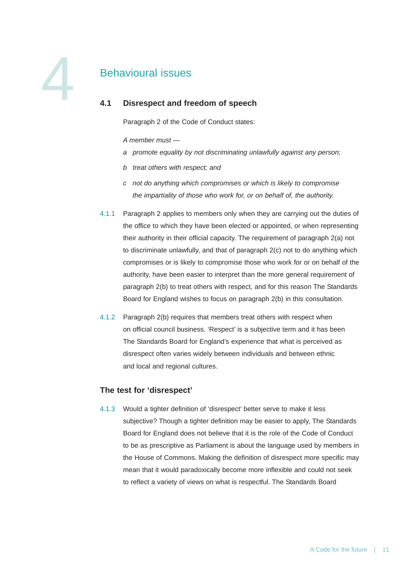# Behavioural issues

# **4.1 Disrespect and freedom of speech**

Paragraph 2 of the Code of Conduct states:

*A member must —*

- *a promote equality by not discriminating unlawfully against any person;*
- *b treat others with respect; and*
- *c not do anything which compromises or which is likely to compromise the impartiality of those who work for, or on behalf of, the authority.*
- 4.1.1 Paragraph 2 applies to members only when they are carrying out the duties of the office to which they have been elected or appointed, or when representing their authority in their official capacity. The requirement of paragraph 2(a) not to discriminate unlawfully, and that of paragraph 2(c) not to do anything which compromises or is likely to compromise those who work for or on behalf of the authority, have been easier to interpret than the more general requirement of paragraph 2(b) to treat others with respect, and for this reason The Standards Board for England wishes to focus on paragraph 2(b) in this consultation.
- 4.1.2 Paragraph 2(b) requires that members treat others with respect when on official council business. 'Respect' is a subjective term and it has been The Standards Board for England's experience that what is perceived as disrespect often varies widely between individuals and between ethnic and local and regional cultures.

# **The test for 'disrespect'**

4.1.3 Would a tighter definition of 'disrespect' better serve to make it less subjective? Though a tighter definition may be easier to apply, The Standards Board for England does not believe that it is the role of the Code of Conduct to be as prescriptive as Parliament is about the language used by members in the House of Commons. Making the definition of disrespect more specific may mean that it would paradoxically become more inflexible and could not seek to reflect a variety of views on what is respectful. The Standards Board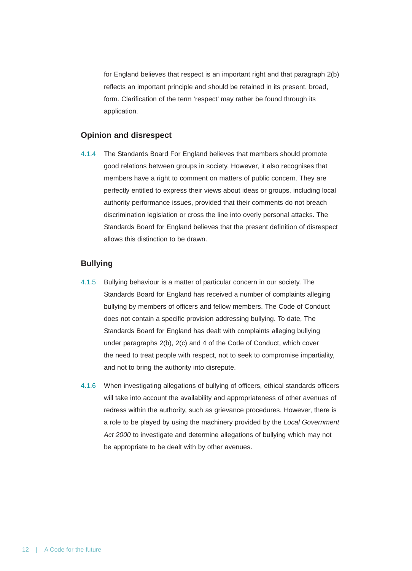for England believes that respect is an important right and that paragraph 2(b) reflects an important principle and should be retained in its present, broad, form. Clarification of the term 'respect' may rather be found through its application.

#### **Opinion and disrespect**

4.1.4 The Standards Board For England believes that members should promote good relations between groups in society. However, it also recognises that members have a right to comment on matters of public concern. They are perfectly entitled to express their views about ideas or groups, including local authority performance issues, provided that their comments do not breach discrimination legislation or cross the line into overly personal attacks. The Standards Board for England believes that the present definition of disrespect allows this distinction to be drawn.

# **Bullying**

- 4.1.5 Bullying behaviour is a matter of particular concern in our society. The Standards Board for England has received a number of complaints alleging bullying by members of officers and fellow members. The Code of Conduct does not contain a specific provision addressing bullying. To date, The Standards Board for England has dealt with complaints alleging bullying under paragraphs 2(b), 2(c) and 4 of the Code of Conduct, which cover the need to treat people with respect, not to seek to compromise impartiality, and not to bring the authority into disrepute.
- 4.1.6 When investigating allegations of bullying of officers, ethical standards officers will take into account the availability and appropriateness of other avenues of redress within the authority, such as grievance procedures. However, there is a role to be played by using the machinery provided by the *Local Government Act 2000* to investigate and determine allegations of bullying which may not be appropriate to be dealt with by other avenues.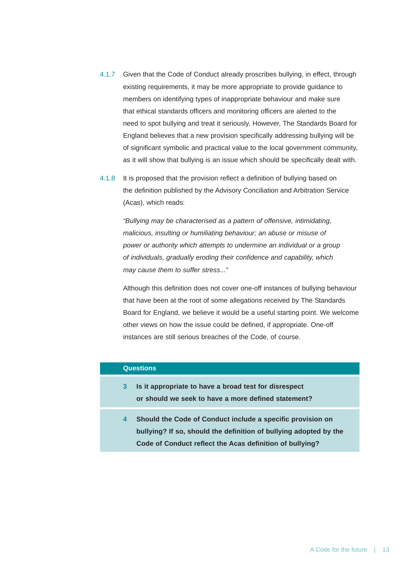- 4.1.7 Given that the Code of Conduct already proscribes bullying, in effect, through existing requirements, it may be more appropriate to provide guidance to members on identifying types of inappropriate behaviour and make sure that ethical standards officers and monitoring officers are alerted to the need to spot bullying and treat it seriously. However, The Standards Board for England believes that a new provision specifically addressing bullying will be of significant symbolic and practical value to the local government community, as it will show that bullying is an issue which should be specifically dealt with.
- 4.1.8 It is proposed that the provision reflect a definition of bullying based on the definition published by the Advisory Conciliation and Arbitration Service (Acas), which reads:

*"Bullying may be characterised as a pattern of offensive, intimidating, malicious, insulting or humiliating behaviour; an abuse or misuse of power or authority which attempts to undermine an individual or a group of individuals, gradually eroding their confidence and capability, which may cause them to suffer stress..."*

Although this definition does not cover one-off instances of bullying behaviour that have been at the root of some allegations received by The Standards Board for England, we believe it would be a useful starting point. We welcome other views on how the issue could be defined, if appropriate. One-off instances are still serious breaches of the Code, of course.

# **Questions**

- **3 Is it appropriate to have a broad test for disrespect or should we seek to have a more defined statement?**
- **4 Should the Code of Conduct include a specific provision on bullying? If so, should the definition of bullying adopted by the Code of Conduct reflect the Acas definition of bullying?**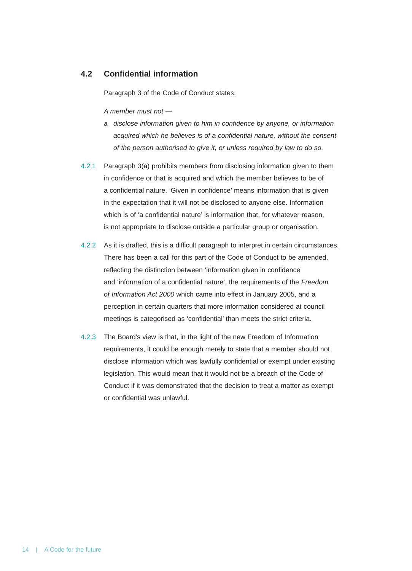# **4.2 Confidential information**

Paragraph 3 of the Code of Conduct states:

*A member must not —*

- *a disclose information given to him in confidence by anyone, or information acquired which he believes is of a confidential nature, without the consent of the person authorised to give it, or unless required by law to do so.*
- 4.2.1 Paragraph 3(a) prohibits members from disclosing information given to them in confidence or that is acquired and which the member believes to be of a confidential nature. 'Given in confidence' means information that is given in the expectation that it will not be disclosed to anyone else. Information which is of 'a confidential nature' is information that, for whatever reason, is not appropriate to disclose outside a particular group or organisation.
- 4.2.2 As it is drafted, this is a difficult paragraph to interpret in certain circumstances. There has been a call for this part of the Code of Conduct to be amended, reflecting the distinction between 'information given in confidence' and 'information of a confidential nature', the requirements of the *Freedom of Information Act 2000* which came into effect in January 2005, and a perception in certain quarters that more information considered at council meetings is categorised as 'confidential' than meets the strict criteria.
- 4.2.3 The Board's view is that, in the light of the new Freedom of Information requirements, it could be enough merely to state that a member should not disclose information which was lawfully confidential or exempt under existing legislation. This would mean that it would not be a breach of the Code of Conduct if it was demonstrated that the decision to treat a matter as exempt or confidential was unlawful.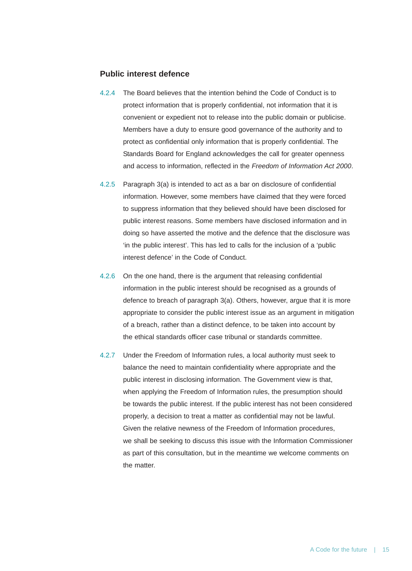#### **Public interest defence**

- 4.2.4 The Board believes that the intention behind the Code of Conduct is to protect information that is properly confidential, not information that it is convenient or expedient not to release into the public domain or publicise. Members have a duty to ensure good governance of the authority and to protect as confidential only information that is properly confidential. The Standards Board for England acknowledges the call for greater openness and access to information, reflected in the *Freedom of Information Act 2000*.
- 4.2.5 Paragraph 3(a) is intended to act as a bar on disclosure of confidential information. However, some members have claimed that they were forced to suppress information that they believed should have been disclosed for public interest reasons. Some members have disclosed information and in doing so have asserted the motive and the defence that the disclosure was 'in the public interest'. This has led to calls for the inclusion of a 'public interest defence' in the Code of Conduct.
- 4.2.6 On the one hand, there is the argument that releasing confidential information in the public interest should be recognised as a grounds of defence to breach of paragraph 3(a). Others, however, argue that it is more appropriate to consider the public interest issue as an argument in mitigation of a breach, rather than a distinct defence, to be taken into account by the ethical standards officer case tribunal or standards committee.
- 4.2.7 Under the Freedom of Information rules, a local authority must seek to balance the need to maintain confidentiality where appropriate and the public interest in disclosing information. The Government view is that, when applying the Freedom of Information rules, the presumption should be towards the public interest. If the public interest has not been considered properly, a decision to treat a matter as confidential may not be lawful. Given the relative newness of the Freedom of Information procedures, we shall be seeking to discuss this issue with the Information Commissioner as part of this consultation, but in the meantime we welcome comments on the matter.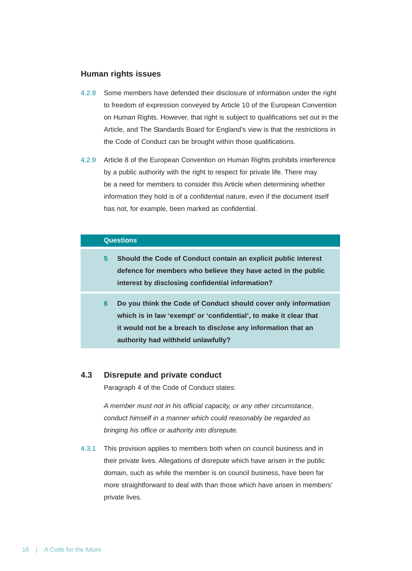#### **Human rights issues**

- 4.2.8 Some members have defended their disclosure of information under the right to freedom of expression conveyed by Article 10 of the European Convention on Human Rights. However, that right is subject to qualifications set out in the Article, and The Standards Board for England's view is that the restrictions in the Code of Conduct can be brought within those qualifications.
- 4.2.9 Article 8 of the European Convention on Human Rights prohibits interference by a public authority with the right to respect for private life. There may be a need for members to consider this Article when determining whether information they hold is of a confidential nature, even if the document itself has not, for example, been marked as confidential.

#### **Questions**

- **5 Should the Code of Conduct contain an explicit public interest defence for members who believe they have acted in the public interest by disclosing confidential information?**
- **6 Do you think the Code of Conduct should cover only information which is in law 'exempt' or 'confidential', to make it clear that it would not be a breach to disclose any information that an authority had withheld unlawfully?**

#### **4.3 Disrepute and private conduct**

Paragraph 4 of the Code of Conduct states:

*A member must not in his official capacity, or any other circumstance, conduct himself in a manner which could reasonably be regarded as bringing his office or authority into disrepute.* 

4.3.1 This provision applies to members both when on council business and in their private lives. Allegations of disrepute which have arisen in the public domain, such as while the member is on council business, have been far more straightforward to deal with than those which have arisen in members' private lives.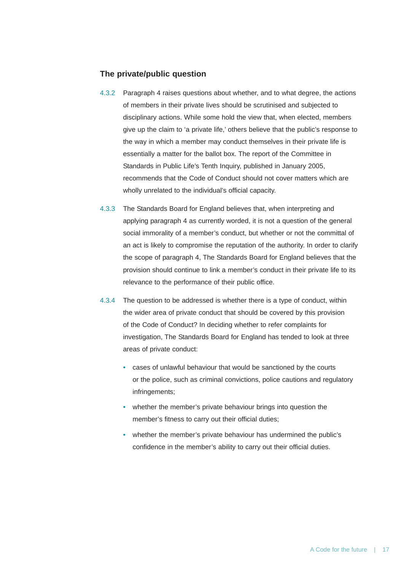### **The private/public question**

- 4.3.2 Paragraph 4 raises questions about whether, and to what degree, the actions of members in their private lives should be scrutinised and subjected to disciplinary actions. While some hold the view that, when elected, members give up the claim to 'a private life,' others believe that the public's response to the way in which a member may conduct themselves in their private life is essentially a matter for the ballot box. The report of the Committee in Standards in Public Life's Tenth Inquiry, published in January 2005, recommends that the Code of Conduct should not cover matters which are wholly unrelated to the individual's official capacity.
- 4.3.3 The Standards Board for England believes that, when interpreting and applying paragraph 4 as currently worded, it is not a question of the general social immorality of a member's conduct, but whether or not the committal of an act is likely to compromise the reputation of the authority. In order to clarify the scope of paragraph 4, The Standards Board for England believes that the provision should continue to link a member's conduct in their private life to its relevance to the performance of their public office.
- 4.3.4 The question to be addressed is whether there is a type of conduct, within the wider area of private conduct that should be covered by this provision of the Code of Conduct? In deciding whether to refer complaints for investigation, The Standards Board for England has tended to look at three areas of private conduct:
	- cases of unlawful behaviour that would be sanctioned by the courts or the police, such as criminal convictions, police cautions and regulatory infringements;
	- whether the member's private behaviour brings into question the member's fitness to carry out their official duties;
	- whether the member's private behaviour has undermined the public's confidence in the member's ability to carry out their official duties.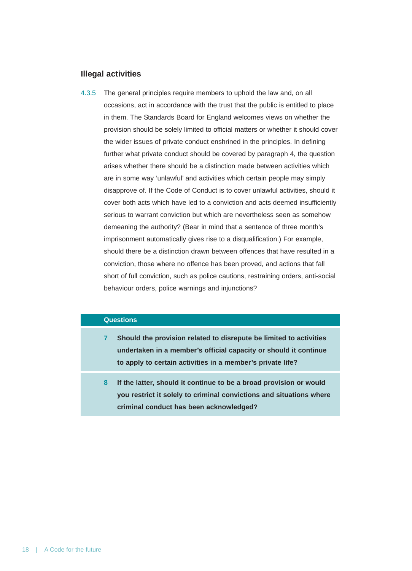#### **Illegal activities**

4.3.5 The general principles require members to uphold the law and, on all occasions, act in accordance with the trust that the public is entitled to place in them. The Standards Board for England welcomes views on whether the provision should be solely limited to official matters or whether it should cover the wider issues of private conduct enshrined in the principles. In defining further what private conduct should be covered by paragraph 4, the question arises whether there should be a distinction made between activities which are in some way 'unlawful' and activities which certain people may simply disapprove of. If the Code of Conduct is to cover unlawful activities, should it cover both acts which have led to a conviction and acts deemed insufficiently serious to warrant conviction but which are nevertheless seen as somehow demeaning the authority? (Bear in mind that a sentence of three month's imprisonment automatically gives rise to a disqualification.) For example, should there be a distinction drawn between offences that have resulted in a conviction, those where no offence has been proved, and actions that fall short of full conviction, such as police cautions, restraining orders, anti-social behaviour orders, police warnings and injunctions?

### **Questions**

- **7 Should the provision related to disrepute be limited to activities undertaken in a member's official capacity or should it continue to apply to certain activities in a member's private life?**
- **8 If the latter, should it continue to be a broad provision or would you restrict it solely to criminal convictions and situations where criminal conduct has been acknowledged?**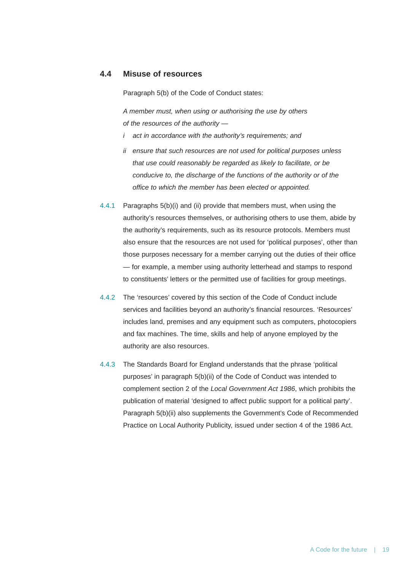## **4.4 Misuse of resources**

Paragraph 5(b) of the Code of Conduct states:

*A member must, when using or authorising the use by others of the resources of the authority —*

- *i act in accordance with the authority's requirements; and*
- *ii ensure that such resources are not used for political purposes unless that use could reasonably be regarded as likely to facilitate, or be conducive to, the discharge of the functions of the authority or of the office to which the member has been elected or appointed.*
- 4.4.1 Paragraphs 5(b)(i) and (ii) provide that members must, when using the authority's resources themselves, or authorising others to use them, abide by the authority's requirements, such as its resource protocols. Members must also ensure that the resources are not used for 'political purposes', other than those purposes necessary for a member carrying out the duties of their office — for example, a member using authority letterhead and stamps to respond to constituents' letters or the permitted use of facilities for group meetings.
- 4.4.2 The 'resources' covered by this section of the Code of Conduct include services and facilities beyond an authority's financial resources. 'Resources' includes land, premises and any equipment such as computers, photocopiers and fax machines. The time, skills and help of anyone employed by the authority are also resources.
- 4.4.3 The Standards Board for England understands that the phrase 'political purposes' in paragraph 5(b)(ii) of the Code of Conduct was intended to complement section 2 of the *Local Government Act 1986*, which prohibits the publication of material 'designed to affect public support for a political party'. Paragraph 5(b)(ii) also supplements the Government's Code of Recommended Practice on Local Authority Publicity, issued under section 4 of the 1986 Act.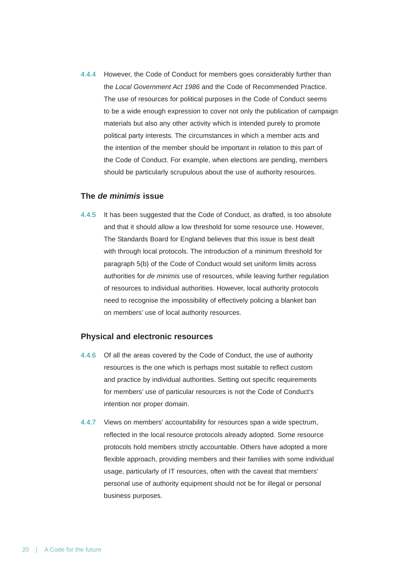4.4.4 However, the Code of Conduct for members goes considerably further than the *Local Government Act 1986* and the Code of Recommended Practice. The use of resources for political purposes in the Code of Conduct seems to be a wide enough expression to cover not only the publication of campaign materials but also any other activity which is intended purely to promote political party interests. The circumstances in which a member acts and the intention of the member should be important in relation to this part of the Code of Conduct. For example, when elections are pending, members should be particularly scrupulous about the use of authority resources.

#### **The** *de minimis* **issue**

4.4.5 It has been suggested that the Code of Conduct, as drafted, is too absolute and that it should allow a low threshold for some resource use. However, The Standards Board for England believes that this issue is best dealt with through local protocols. The introduction of a minimum threshold for paragraph 5(b) of the Code of Conduct would set uniform limits across authorities for *de minimis* use of resources, while leaving further regulation of resources to individual authorities. However, local authority protocols need to recognise the impossibility of effectively policing a blanket ban on members' use of local authority resources.

#### **Physical and electronic resources**

- 4.4.6 Of all the areas covered by the Code of Conduct, the use of authority resources is the one which is perhaps most suitable to reflect custom and practice by individual authorities. Setting out specific requirements for members' use of particular resources is not the Code of Conduct's intention nor proper domain.
- 4.4.7 Views on members' accountability for resources span a wide spectrum, reflected in the local resource protocols already adopted. Some resource protocols hold members strictly accountable. Others have adopted a more flexible approach, providing members and their families with some individual usage, particularly of IT resources, often with the caveat that members' personal use of authority equipment should not be for illegal or personal business purposes.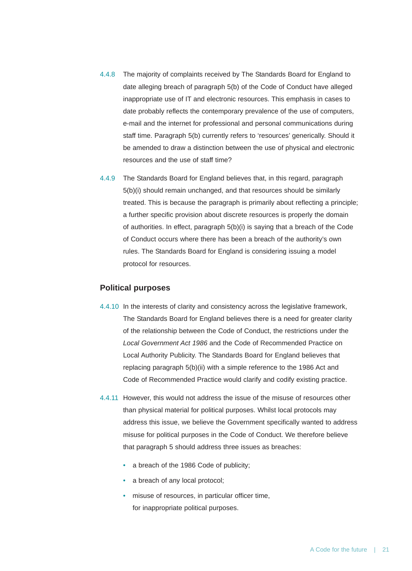- 4.4.8 The majority of complaints received by The Standards Board for England to date alleging breach of paragraph 5(b) of the Code of Conduct have alleged inappropriate use of IT and electronic resources. This emphasis in cases to date probably reflects the contemporary prevalence of the use of computers, e-mail and the internet for professional and personal communications during staff time. Paragraph 5(b) currently refers to 'resources' generically. Should it be amended to draw a distinction between the use of physical and electronic resources and the use of staff time?
- 4.4.9 The Standards Board for England believes that, in this regard, paragraph 5(b)(i) should remain unchanged, and that resources should be similarly treated. This is because the paragraph is primarily about reflecting a principle; a further specific provision about discrete resources is properly the domain of authorities. In effect, paragraph 5(b)(i) is saying that a breach of the Code of Conduct occurs where there has been a breach of the authority's own rules. The Standards Board for England is considering issuing a model protocol for resources.

#### **Political purposes**

- 4.4.10 In the interests of clarity and consistency across the legislative framework, The Standards Board for England believes there is a need for greater clarity of the relationship between the Code of Conduct, the restrictions under the *Local Government Act 1986* and the Code of Recommended Practice on Local Authority Publicity. The Standards Board for England believes that replacing paragraph 5(b)(ii) with a simple reference to the 1986 Act and Code of Recommended Practice would clarify and codify existing practice.
- 4.4.11 However, this would not address the issue of the misuse of resources other than physical material for political purposes. Whilst local protocols may address this issue, we believe the Government specifically wanted to address misuse for political purposes in the Code of Conduct. We therefore believe that paragraph 5 should address three issues as breaches:
	- a breach of the 1986 Code of publicity;
	- a breach of any local protocol;
	- misuse of resources, in particular officer time, for inappropriate political purposes.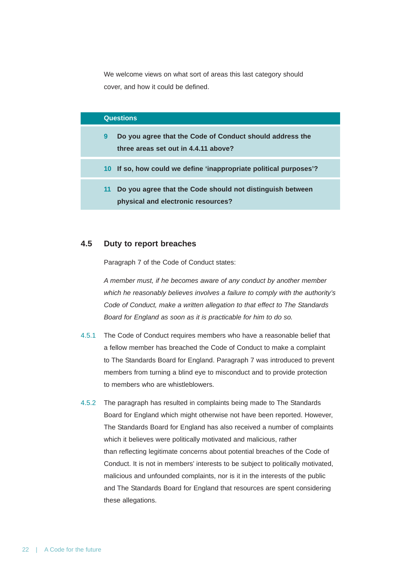We welcome views on what sort of areas this last category should cover, and how it could be defined.

#### **Questions**

| Do you agree that the Code of Conduct should address the |
|----------------------------------------------------------|
| three areas set out in 4.4.11 above?                     |

- **10 If so, how could we define 'inappropriate political purposes'?**
- **11 Do you agree that the Code should not distinguish between physical and electronic resources?**

# **4.5 Duty to report breaches**

Paragraph 7 of the Code of Conduct states:

*A member must, if he becomes aware of any conduct by another member which he reasonably believes involves a failure to comply with the authority's Code of Conduct, make a written allegation to that effect to The Standards Board for England as soon as it is practicable for him to do so.* 

- 4.5.1 The Code of Conduct requires members who have a reasonable belief that a fellow member has breached the Code of Conduct to make a complaint to The Standards Board for England. Paragraph 7 was introduced to prevent members from turning a blind eye to misconduct and to provide protection to members who are whistleblowers.
- 4.5.2 The paragraph has resulted in complaints being made to The Standards Board for England which might otherwise not have been reported. However, The Standards Board for England has also received a number of complaints which it believes were politically motivated and malicious, rather than reflecting legitimate concerns about potential breaches of the Code of Conduct. It is not in members' interests to be subject to politically motivated, malicious and unfounded complaints, nor is it in the interests of the public and The Standards Board for England that resources are spent considering these allegations.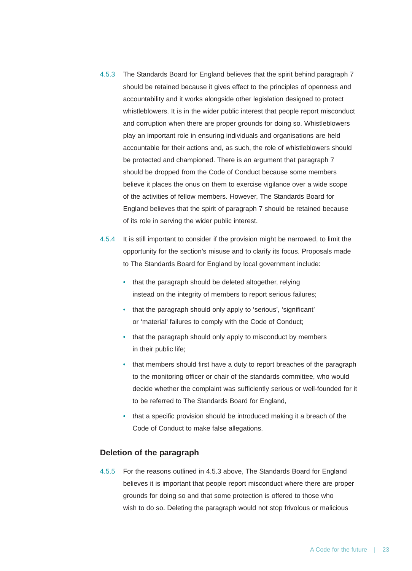- 4.5.3 The Standards Board for England believes that the spirit behind paragraph 7 should be retained because it gives effect to the principles of openness and accountability and it works alongside other legislation designed to protect whistleblowers. It is in the wider public interest that people report misconduct and corruption when there are proper grounds for doing so. Whistleblowers play an important role in ensuring individuals and organisations are held accountable for their actions and, as such, the role of whistleblowers should be protected and championed. There is an argument that paragraph 7 should be dropped from the Code of Conduct because some members believe it places the onus on them to exercise vigilance over a wide scope of the activities of fellow members. However, The Standards Board for England believes that the spirit of paragraph 7 should be retained because of its role in serving the wider public interest.
- 4.5.4 It is still important to consider if the provision might be narrowed, to limit the opportunity for the section's misuse and to clarify its focus. Proposals made to The Standards Board for England by local government include:
	- that the paragraph should be deleted altogether, relying instead on the integrity of members to report serious failures;
	- that the paragraph should only apply to 'serious', 'significant' or 'material' failures to comply with the Code of Conduct;
	- that the paragraph should only apply to misconduct by members in their public life;
	- that members should first have a duty to report breaches of the paragraph to the monitoring officer or chair of the standards committee, who would decide whether the complaint was sufficiently serious or well-founded for it to be referred to The Standards Board for England,
	- that a specific provision should be introduced making it a breach of the Code of Conduct to make false allegations.

# **Deletion of the paragraph**

4.5.5 For the reasons outlined in 4.5.3 above, The Standards Board for England believes it is important that people report misconduct where there are proper grounds for doing so and that some protection is offered to those who wish to do so. Deleting the paragraph would not stop frivolous or malicious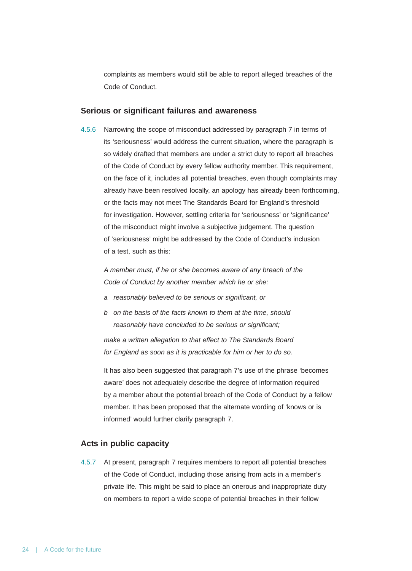complaints as members would still be able to report alleged breaches of the Code of Conduct.

#### **Serious or significant failures and awareness**

4.5.6 Narrowing the scope of misconduct addressed by paragraph 7 in terms of its 'seriousness' would address the current situation, where the paragraph is so widely drafted that members are under a strict duty to report all breaches of the Code of Conduct by every fellow authority member. This requirement, on the face of it, includes all potential breaches, even though complaints may already have been resolved locally, an apology has already been forthcoming, or the facts may not meet The Standards Board for England's threshold for investigation. However, settling criteria for 'seriousness' or 'significance' of the misconduct might involve a subjective judgement. The question of 'seriousness' might be addressed by the Code of Conduct's inclusion of a test, such as this:

*A member must, if he or she becomes aware of any breach of the Code of Conduct by another member which he or she:*

- *a reasonably believed to be serious or significant, or*
- *b on the basis of the facts known to them at the time, should reasonably have concluded to be serious or significant;*

*make a written allegation to that effect to The Standards Board for England as soon as it is practicable for him or her to do so.*

It has also been suggested that paragraph 7's use of the phrase 'becomes aware' does not adequately describe the degree of information required by a member about the potential breach of the Code of Conduct by a fellow member. It has been proposed that the alternate wording of 'knows or is informed' would further clarify paragraph 7.

#### **Acts in public capacity**

4.5.7 At present, paragraph 7 requires members to report all potential breaches of the Code of Conduct, including those arising from acts in a member's private life. This might be said to place an onerous and inappropriate duty on members to report a wide scope of potential breaches in their fellow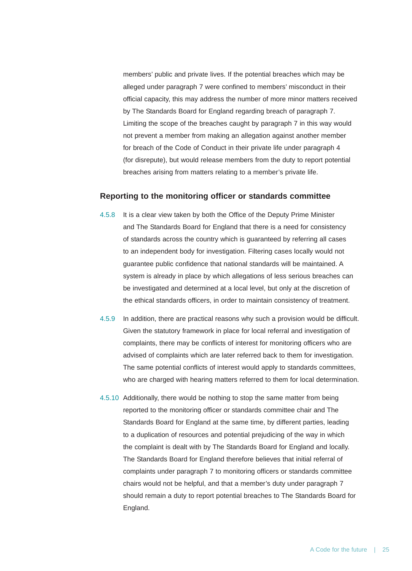members' public and private lives. If the potential breaches which may be alleged under paragraph 7 were confined to members' misconduct in their official capacity, this may address the number of more minor matters received by The Standards Board for England regarding breach of paragraph 7. Limiting the scope of the breaches caught by paragraph 7 in this way would not prevent a member from making an allegation against another member for breach of the Code of Conduct in their private life under paragraph 4 (for disrepute), but would release members from the duty to report potential breaches arising from matters relating to a member's private life.

#### **Reporting to the monitoring officer or standards committee**

- 4.5.8 It is a clear view taken by both the Office of the Deputy Prime Minister and The Standards Board for England that there is a need for consistency of standards across the country which is guaranteed by referring all cases to an independent body for investigation. Filtering cases locally would not guarantee public confidence that national standards will be maintained. A system is already in place by which allegations of less serious breaches can be investigated and determined at a local level, but only at the discretion of the ethical standards officers, in order to maintain consistency of treatment.
- 4.5.9 In addition, there are practical reasons why such a provision would be difficult. Given the statutory framework in place for local referral and investigation of complaints, there may be conflicts of interest for monitoring officers who are advised of complaints which are later referred back to them for investigation. The same potential conflicts of interest would apply to standards committees, who are charged with hearing matters referred to them for local determination.
- 4.5.10 Additionally, there would be nothing to stop the same matter from being reported to the monitoring officer or standards committee chair and The Standards Board for England at the same time, by different parties, leading to a duplication of resources and potential prejudicing of the way in which the complaint is dealt with by The Standards Board for England and locally. The Standards Board for England therefore believes that initial referral of complaints under paragraph 7 to monitoring officers or standards committee chairs would not be helpful, and that a member's duty under paragraph 7 should remain a duty to report potential breaches to The Standards Board for England.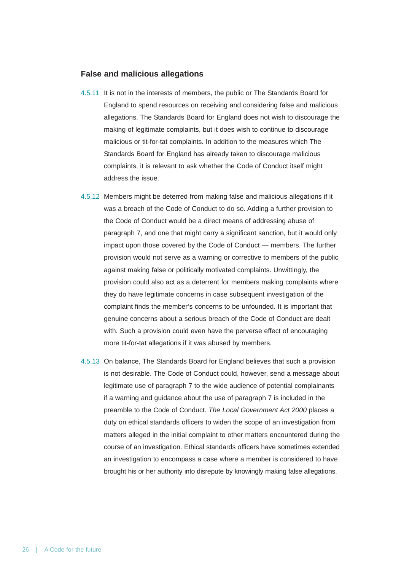#### **False and malicious allegations**

- 4.5.11 It is not in the interests of members, the public or The Standards Board for England to spend resources on receiving and considering false and malicious allegations. The Standards Board for England does not wish to discourage the making of legitimate complaints, but it does wish to continue to discourage malicious or tit-for-tat complaints. In addition to the measures which The Standards Board for England has already taken to discourage malicious complaints, it is relevant to ask whether the Code of Conduct itself might address the issue.
- 4.5.12 Members might be deterred from making false and malicious allegations if it was a breach of the Code of Conduct to do so. Adding a further provision to the Code of Conduct would be a direct means of addressing abuse of paragraph 7, and one that might carry a significant sanction, but it would only impact upon those covered by the Code of Conduct — members. The further provision would not serve as a warning or corrective to members of the public against making false or politically motivated complaints. Unwittingly, the provision could also act as a deterrent for members making complaints where they do have legitimate concerns in case subsequent investigation of the complaint finds the member's concerns to be unfounded. It is important that genuine concerns about a serious breach of the Code of Conduct are dealt with. Such a provision could even have the perverse effect of encouraging more tit-for-tat allegations if it was abused by members.
- 4.5.13 On balance, The Standards Board for England believes that such a provision is not desirable. The Code of Conduct could, however, send a message about legitimate use of paragraph 7 to the wide audience of potential complainants if a warning and guidance about the use of paragraph 7 is included in the preamble to the Code of Conduct. *The Local Government Act 2000* places a duty on ethical standards officers to widen the scope of an investigation from matters alleged in the initial complaint to other matters encountered during the course of an investigation. Ethical standards officers have sometimes extended an investigation to encompass a case where a member is considered to have brought his or her authority into disrepute by knowingly making false allegations.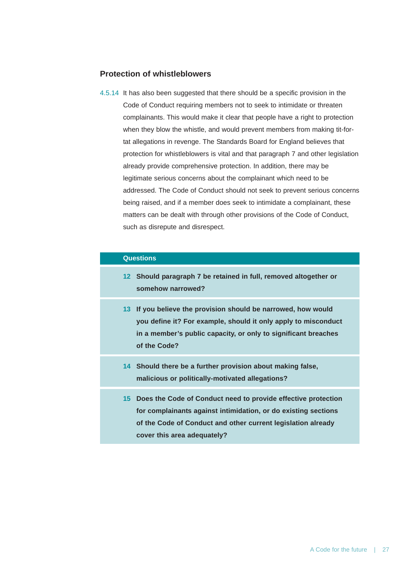# **Protection of whistleblowers**

4.5.14 It has also been suggested that there should be a specific provision in the Code of Conduct requiring members not to seek to intimidate or threaten complainants. This would make it clear that people have a right to protection when they blow the whistle, and would prevent members from making tit-fortat allegations in revenge. The Standards Board for England believes that protection for whistleblowers is vital and that paragraph 7 and other legislation already provide comprehensive protection. In addition, there may be legitimate serious concerns about the complainant which need to be addressed. The Code of Conduct should not seek to prevent serious concerns being raised, and if a member does seek to intimidate a complainant, these matters can be dealt with through other provisions of the Code of Conduct, such as disrepute and disrespect.

# **Questions**

- **12 Should paragraph 7 be retained in full, removed altogether or somehow narrowed?**
- **13 If you believe the provision should be narrowed, how would you define it? For example, should it only apply to misconduct in a member's public capacity, or only to significant breaches of the Code?**
- **14 Should there be a further provision about making false, malicious or politically-motivated allegations?**
- **15 Does the Code of Conduct need to provide effective protection for complainants against intimidation, or do existing sections of the Code of Conduct and other current legislation already cover this area adequately?**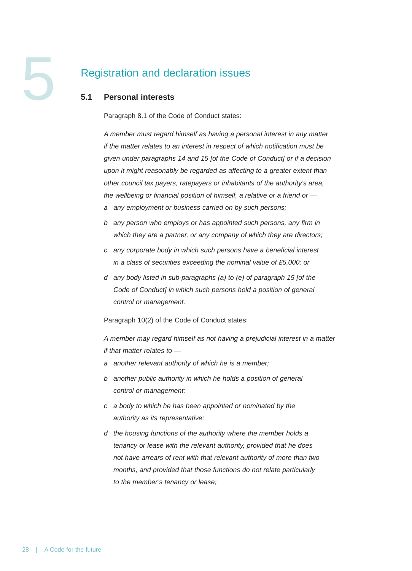# Registration and declaration issues

# **5.1 Personal interests**

Paragraph 8.1 of the Code of Conduct states:

*A member must regard himself as having a personal interest in any matter if the matter relates to an interest in respect of which notification must be given under paragraphs 14 and 15 [of the Code of Conduct] or if a decision upon it might reasonably be regarded as affecting to a greater extent than other council tax payers, ratepayers or inhabitants of the authority's area, the wellbeing or financial position of himself, a relative or a friend or —*

- *a any employment or business carried on by such persons;*
- *b any person who employs or has appointed such persons, any firm in which they are a partner, or any company of which they are directors;*
- *c any corporate body in which such persons have a beneficial interest in a class of securities exceeding the nominal value of £5,000; or*
- *d any body listed in sub-paragraphs (a) to (e) of paragraph 15 [of the Code of Conduct] in which such persons hold a position of general control or management.*

Paragraph 10(2) of the Code of Conduct states:

*A member may regard himself as not having a prejudicial interest in a matter if that matter relates to —*

- *a another relevant authority of which he is a member;*
- *b another public authority in which he holds a position of general control or management;*
- *c a body to which he has been appointed or nominated by the authority as its representative;*
- *d the housing functions of the authority where the member holds a tenancy or lease with the relevant authority, provided that he does not have arrears of rent with that relevant authority of more than two months, and provided that those functions do not relate particularly to the member's tenancy or lease;*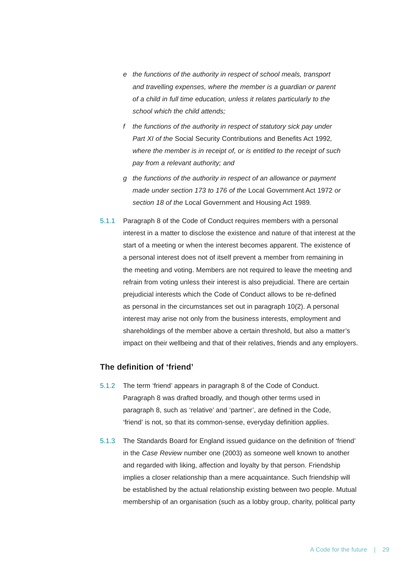- *e the functions of the authority in respect of school meals, transport and travelling expenses, where the member is a guardian or parent of a child in full time education, unless it relates particularly to the school which the child attends;*
- *f the functions of the authority in respect of statutory sick pay under Part XI of the* Social Security Contributions and Benefits Act 1992*, where the member is in receipt of, or is entitled to the receipt of such pay from a relevant authority; and*
- *g the functions of the authority in respect of an allowance or payment made under section 173 to 176 of the* Local Government Act 1972 *or section 18 of the* Local Government and Housing Act 1989*.*
- 5.1.1 Paragraph 8 of the Code of Conduct requires members with a personal interest in a matter to disclose the existence and nature of that interest at the start of a meeting or when the interest becomes apparent. The existence of a personal interest does not of itself prevent a member from remaining in the meeting and voting. Members are not required to leave the meeting and refrain from voting unless their interest is also prejudicial. There are certain prejudicial interests which the Code of Conduct allows to be re-defined as personal in the circumstances set out in paragraph 10(2). A personal interest may arise not only from the business interests, employment and shareholdings of the member above a certain threshold, but also a matter's impact on their wellbeing and that of their relatives, friends and any employers.

# **The definition of 'friend'**

- 5.1.2 The term 'friend' appears in paragraph 8 of the Code of Conduct. Paragraph 8 was drafted broadly, and though other terms used in paragraph 8, such as 'relative' and 'partner', are defined in the Code, 'friend' is not, so that its common-sense, everyday definition applies.
- 5.1.3 The Standards Board for England issued guidance on the definition of 'friend' in the *Case Review* number one (2003) as someone well known to another and regarded with liking, affection and loyalty by that person. Friendship implies a closer relationship than a mere acquaintance. Such friendship will be established by the actual relationship existing between two people. Mutual membership of an organisation (such as a lobby group, charity, political party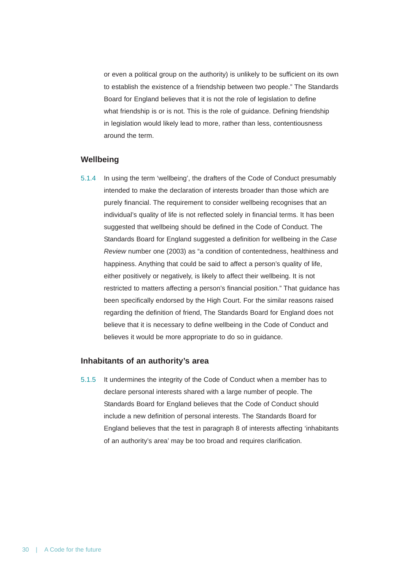or even a political group on the authority) is unlikely to be sufficient on its own to establish the existence of a friendship between two people." The Standards Board for England believes that it is not the role of legislation to define what friendship is or is not. This is the role of guidance. Defining friendship in legislation would likely lead to more, rather than less, contentiousness around the term.

# **Wellbeing**

5.1.4 In using the term 'wellbeing', the drafters of the Code of Conduct presumably intended to make the declaration of interests broader than those which are purely financial. The requirement to consider wellbeing recognises that an individual's quality of life is not reflected solely in financial terms. It has been suggested that wellbeing should be defined in the Code of Conduct. The Standards Board for England suggested a definition for wellbeing in the *Case Review* number one (2003) as "a condition of contentedness, healthiness and happiness. Anything that could be said to affect a person's quality of life, either positively or negatively, is likely to affect their wellbeing. It is not restricted to matters affecting a person's financial position." That guidance has been specifically endorsed by the High Court. For the similar reasons raised regarding the definition of friend, The Standards Board for England does not believe that it is necessary to define wellbeing in the Code of Conduct and believes it would be more appropriate to do so in guidance.

#### **Inhabitants of an authority's area**

5.1.5 It undermines the integrity of the Code of Conduct when a member has to declare personal interests shared with a large number of people. The Standards Board for England believes that the Code of Conduct should include a new definition of personal interests. The Standards Board for England believes that the test in paragraph 8 of interests affecting 'inhabitants of an authority's area' may be too broad and requires clarification.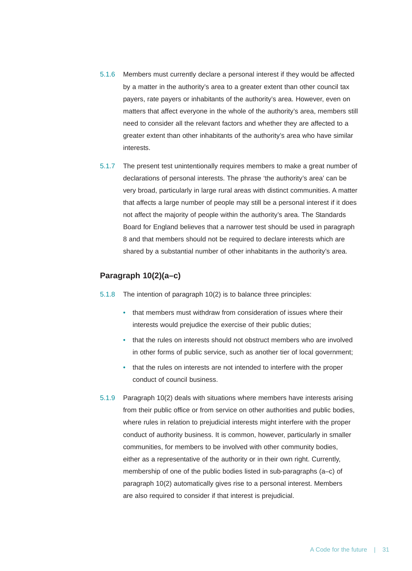- 5.1.6 Members must currently declare a personal interest if they would be affected by a matter in the authority's area to a greater extent than other council tax payers, rate payers or inhabitants of the authority's area. However, even on matters that affect everyone in the whole of the authority's area, members still need to consider all the relevant factors and whether they are affected to a greater extent than other inhabitants of the authority's area who have similar interests.
- 5.1.7 The present test unintentionally requires members to make a great number of declarations of personal interests. The phrase 'the authority's area' can be very broad, particularly in large rural areas with distinct communities. A matter that affects a large number of people may still be a personal interest if it does not affect the majority of people within the authority's area. The Standards Board for England believes that a narrower test should be used in paragraph 8 and that members should not be required to declare interests which are shared by a substantial number of other inhabitants in the authority's area.

# **Paragraph 10(2)(a–c)**

5.1.8 The intention of paragraph 10(2) is to balance three principles:

- that members must withdraw from consideration of issues where their interests would prejudice the exercise of their public duties;
- that the rules on interests should not obstruct members who are involved in other forms of public service, such as another tier of local government;
- that the rules on interests are not intended to interfere with the proper conduct of council business.
- 5.1.9 Paragraph 10(2) deals with situations where members have interests arising from their public office or from service on other authorities and public bodies, where rules in relation to prejudicial interests might interfere with the proper conduct of authority business. It is common, however, particularly in smaller communities, for members to be involved with other community bodies, either as a representative of the authority or in their own right. Currently, membership of one of the public bodies listed in sub-paragraphs (a–c) of paragraph 10(2) automatically gives rise to a personal interest. Members are also required to consider if that interest is prejudicial.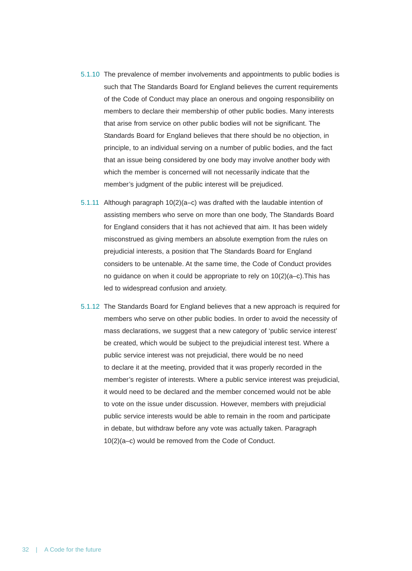- 5.1.10 The prevalence of member involvements and appointments to public bodies is such that The Standards Board for England believes the current requirements of the Code of Conduct may place an onerous and ongoing responsibility on members to declare their membership of other public bodies. Many interests that arise from service on other public bodies will not be significant. The Standards Board for England believes that there should be no objection, in principle, to an individual serving on a number of public bodies, and the fact that an issue being considered by one body may involve another body with which the member is concerned will not necessarily indicate that the member's judgment of the public interest will be prejudiced.
- 5.1.11 Although paragraph 10(2)(a–c) was drafted with the laudable intention of assisting members who serve on more than one body, The Standards Board for England considers that it has not achieved that aim. It has been widely misconstrued as giving members an absolute exemption from the rules on prejudicial interests, a position that The Standards Board for England considers to be untenable. At the same time, the Code of Conduct provides no guidance on when it could be appropriate to rely on 10(2)(a–c).This has led to widespread confusion and anxiety.
- 5.1.12 The Standards Board for England believes that a new approach is required for members who serve on other public bodies. In order to avoid the necessity of mass declarations, we suggest that a new category of 'public service interest' be created, which would be subject to the prejudicial interest test. Where a public service interest was not prejudicial, there would be no need to declare it at the meeting, provided that it was properly recorded in the member's register of interests. Where a public service interest was prejudicial, it would need to be declared and the member concerned would not be able to vote on the issue under discussion. However, members with prejudicial public service interests would be able to remain in the room and participate in debate, but withdraw before any vote was actually taken. Paragraph 10(2)(a–c) would be removed from the Code of Conduct.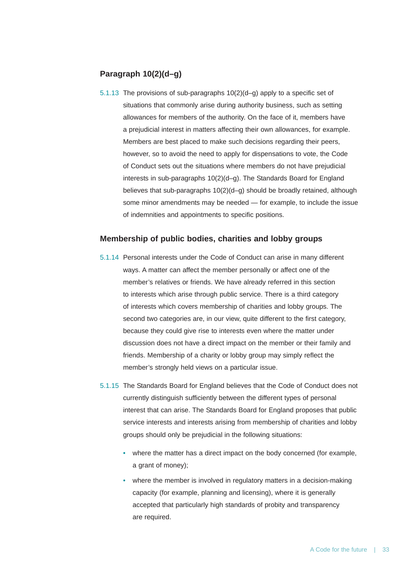# **Paragraph 10(2)(d–g)**

5.1.13 The provisions of sub-paragraphs 10(2)(d–g) apply to a specific set of situations that commonly arise during authority business, such as setting allowances for members of the authority. On the face of it, members have a prejudicial interest in matters affecting their own allowances, for example. Members are best placed to make such decisions regarding their peers, however, so to avoid the need to apply for dispensations to vote, the Code of Conduct sets out the situations where members do not have prejudicial interests in sub-paragraphs 10(2)(d–g). The Standards Board for England believes that sub-paragraphs 10(2)(d–g) should be broadly retained, although some minor amendments may be needed — for example, to include the issue of indemnities and appointments to specific positions.

#### **Membership of public bodies, charities and lobby groups**

- 5.1.14 Personal interests under the Code of Conduct can arise in many different ways. A matter can affect the member personally or affect one of the member's relatives or friends. We have already referred in this section to interests which arise through public service. There is a third category of interests which covers membership of charities and lobby groups. The second two categories are, in our view, quite different to the first category, because they could give rise to interests even where the matter under discussion does not have a direct impact on the member or their family and friends. Membership of a charity or lobby group may simply reflect the member's strongly held views on a particular issue.
- 5.1.15 The Standards Board for England believes that the Code of Conduct does not currently distinguish sufficiently between the different types of personal interest that can arise. The Standards Board for England proposes that public service interests and interests arising from membership of charities and lobby groups should only be prejudicial in the following situations:
	- where the matter has a direct impact on the body concerned (for example, a grant of money);
	- where the member is involved in regulatory matters in a decision-making capacity (for example, planning and licensing), where it is generally accepted that particularly high standards of probity and transparency are required.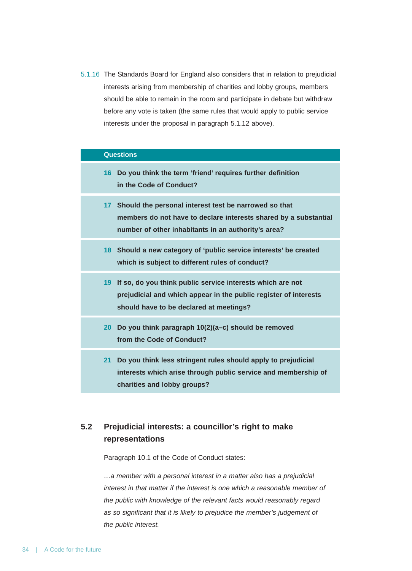5.1.16 The Standards Board for England also considers that in relation to prejudicial interests arising from membership of charities and lobby groups, members should be able to remain in the room and participate in debate but withdraw before any vote is taken (the same rules that would apply to public service interests under the proposal in paragraph 5.1.12 above).

|                 | <b>Questions</b>                                                                                                                                                                 |
|-----------------|----------------------------------------------------------------------------------------------------------------------------------------------------------------------------------|
| 16 <sup>1</sup> | Do you think the term 'friend' requires further definition<br>in the Code of Conduct?                                                                                            |
| 17              | Should the personal interest test be narrowed so that<br>members do not have to declare interests shared by a substantial<br>number of other inhabitants in an authority's area? |
|                 | 18 Should a new category of 'public service interests' be created<br>which is subject to different rules of conduct?                                                             |
|                 | 19 If so, do you think public service interests which are not<br>prejudicial and which appear in the public register of interests<br>should have to be declared at meetings?     |
| 20 <sup>°</sup> | Do you think paragraph 10(2)(a-c) should be removed<br>from the Code of Conduct?                                                                                                 |
| 21              | Do you think less stringent rules should apply to prejudicial<br>interests which arise through public service and membership of<br>charities and lobby groups?                   |

# **5.2 Prejudicial interests: a councillor's right to make representations**

Paragraph 10.1 of the Code of Conduct states:

*…a member with a personal interest in a matter also has a prejudicial interest in that matter if the interest is one which a reasonable member of the public with knowledge of the relevant facts would reasonably regard as so significant that it is likely to prejudice the member's judgement of the public interest.*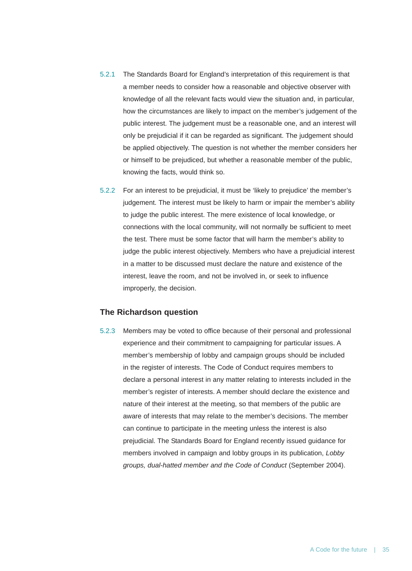- 5.2.1 The Standards Board for England's interpretation of this requirement is that a member needs to consider how a reasonable and objective observer with knowledge of all the relevant facts would view the situation and, in particular, how the circumstances are likely to impact on the member's judgement of the public interest. The judgement must be a reasonable one, and an interest will only be prejudicial if it can be regarded as significant. The judgement should be applied objectively. The question is not whether the member considers her or himself to be prejudiced, but whether a reasonable member of the public, knowing the facts, would think so.
- 5.2.2 For an interest to be prejudicial, it must be 'likely to prejudice' the member's judgement. The interest must be likely to harm or impair the member's ability to judge the public interest. The mere existence of local knowledge, or connections with the local community, will not normally be sufficient to meet the test. There must be some factor that will harm the member's ability to judge the public interest objectively. Members who have a prejudicial interest in a matter to be discussed must declare the nature and existence of the interest, leave the room, and not be involved in, or seek to influence improperly, the decision.

### **The Richardson question**

5.2.3 Members may be voted to office because of their personal and professional experience and their commitment to campaigning for particular issues. A member's membership of lobby and campaign groups should be included in the register of interests. The Code of Conduct requires members to declare a personal interest in any matter relating to interests included in the member's register of interests. A member should declare the existence and nature of their interest at the meeting, so that members of the public are aware of interests that may relate to the member's decisions. The member can continue to participate in the meeting unless the interest is also prejudicial. The Standards Board for England recently issued guidance for members involved in campaign and lobby groups in its publication, *Lobby groups, dual-hatted member and the Code of Conduct* (September 2004).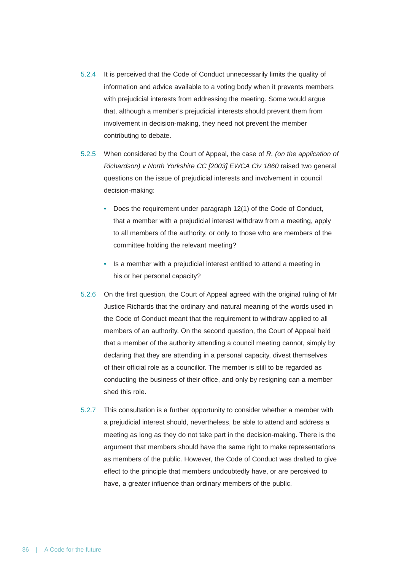- 5.2.4 It is perceived that the Code of Conduct unnecessarily limits the quality of information and advice available to a voting body when it prevents members with prejudicial interests from addressing the meeting. Some would argue that, although a member's prejudicial interests should prevent them from involvement in decision-making, they need not prevent the member contributing to debate.
- 5.2.5 When considered by the Court of Appeal, the case of *R. (on the application of Richardson) v North Yorkshire CC [2003] EWCA Civ 1860* raised two general questions on the issue of prejudicial interests and involvement in council decision-making:
	- Does the requirement under paragraph 12(1) of the Code of Conduct, that a member with a prejudicial interest withdraw from a meeting, apply to all members of the authority, or only to those who are members of the committee holding the relevant meeting?
	- Is a member with a prejudicial interest entitled to attend a meeting in his or her personal capacity?
- 5.2.6 On the first question, the Court of Appeal agreed with the original ruling of Mr Justice Richards that the ordinary and natural meaning of the words used in the Code of Conduct meant that the requirement to withdraw applied to all members of an authority. On the second question, the Court of Appeal held that a member of the authority attending a council meeting cannot, simply by declaring that they are attending in a personal capacity, divest themselves of their official role as a councillor. The member is still to be regarded as conducting the business of their office, and only by resigning can a member shed this role.
- 5.2.7 This consultation is a further opportunity to consider whether a member with a prejudicial interest should, nevertheless, be able to attend and address a meeting as long as they do not take part in the decision-making. There is the argument that members should have the same right to make representations as members of the public. However, the Code of Conduct was drafted to give effect to the principle that members undoubtedly have, or are perceived to have, a greater influence than ordinary members of the public.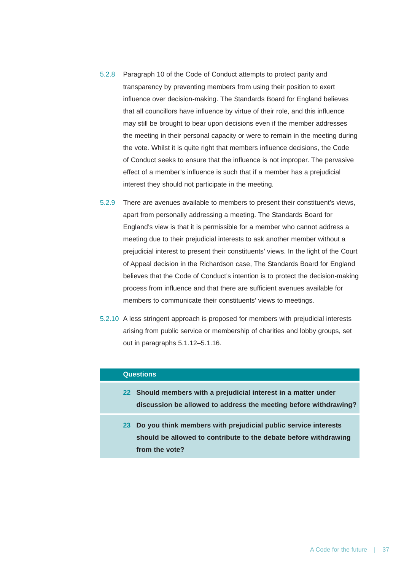- 5.2.8 Paragraph 10 of the Code of Conduct attempts to protect parity and transparency by preventing members from using their position to exert influence over decision-making. The Standards Board for England believes that all councillors have influence by virtue of their role, and this influence may still be brought to bear upon decisions even if the member addresses the meeting in their personal capacity or were to remain in the meeting during the vote. Whilst it is quite right that members influence decisions, the Code of Conduct seeks to ensure that the influence is not improper. The pervasive effect of a member's influence is such that if a member has a prejudicial interest they should not participate in the meeting.
- 5.2.9 There are avenues available to members to present their constituent's views, apart from personally addressing a meeting. The Standards Board for England's view is that it is permissible for a member who cannot address a meeting due to their prejudicial interests to ask another member without a prejudicial interest to present their constituents' views. In the light of the Court of Appeal decision in the Richardson case, The Standards Board for England believes that the Code of Conduct's intention is to protect the decision-making process from influence and that there are sufficient avenues available for members to communicate their constituents' views to meetings.
- 5.2.10 A less stringent approach is proposed for members with prejudicial interests arising from public service or membership of charities and lobby groups, set out in paragraphs 5.1.12–5.1.16.

# **Questions**

- **22 Should members with a prejudicial interest in a matter under discussion be allowed to address the meeting before withdrawing?**
- **23 Do you think members with prejudicial public service interests should be allowed to contribute to the debate before withdrawing from the vote?**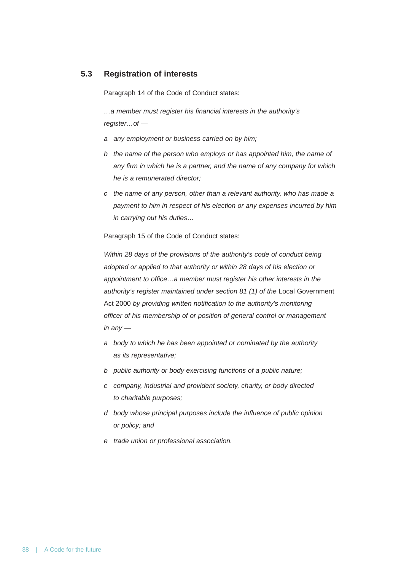# **5.3 Registration of interests**

Paragraph 14 of the Code of Conduct states:

*…a member must register his financial interests in the authority's register…of —*

- *a any employment or business carried on by him;*
- *b the name of the person who employs or has appointed him, the name of any firm in which he is a partner, and the name of any company for which he is a remunerated director;*
- *c the name of any person, other than a relevant authority, who has made a payment to him in respect of his election or any expenses incurred by him in carrying out his duties…*

Paragraph 15 of the Code of Conduct states:

*Within 28 days of the provisions of the authority's code of conduct being adopted or applied to that authority or within 28 days of his election or appointment to office…a member must register his other interests in the authority's register maintained under section 81 (1) of the Local Government* Act 2000 *by providing written notification to the authority's monitoring officer of his membership of or position of general control or management in any —*

- *a body to which he has been appointed or nominated by the authority as its representative;*
- *b public authority or body exercising functions of a public nature;*
- *c company, industrial and provident society, charity, or body directed to charitable purposes;*
- *d body whose principal purposes include the influence of public opinion or policy; and*
- *e trade union or professional association.*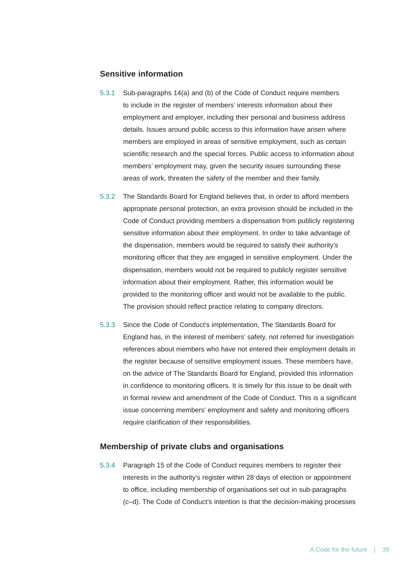# **Sensitive information**

- 5.3.1 Sub-paragraphs 14(a) and (b) of the Code of Conduct require members to include in the register of members' interests information about their employment and employer, including their personal and business address details. Issues around public access to this information have arisen where members are employed in areas of sensitive employment, such as certain scientific research and the special forces. Public access to information about members' employment may, given the security issues surrounding these areas of work, threaten the safety of the member and their family.
- 5.3.2 The Standards Board for England believes that, in order to afford members appropriate personal protection, an extra provision should be included in the Code of Conduct providing members a dispensation from publicly registering sensitive information about their employment. In order to take advantage of the dispensation, members would be required to satisfy their authority's monitoring officer that they are engaged in sensitive employment. Under the dispensation, members would not be required to publicly register sensitive information about their employment. Rather, this information would be provided to the monitoring officer and would not be available to the public. The provision should reflect practice relating to company directors.
- 5.3.3 Since the Code of Conduct's implementation, The Standards Board for England has, in the interest of members' safety, not referred for investigation references about members who have not entered their employment details in the register because of sensitive employment issues. These members have, on the advice of The Standards Board for England, provided this information in confidence to monitoring officers. It is timely for this issue to be dealt with in formal review and amendment of the Code of Conduct. This is a significant issue concerning members' employment and safety and monitoring officers require clarification of their responsibilities.

#### **Membership of private clubs and organisations**

5.3.4 Paragraph 15 of the Code of Conduct requires members to register their interests in the authority's register within 28 days of election or appointment to office, including membership of organisations set out in sub-paragraphs (c–d). The Code of Conduct's intention is that the decision-making processes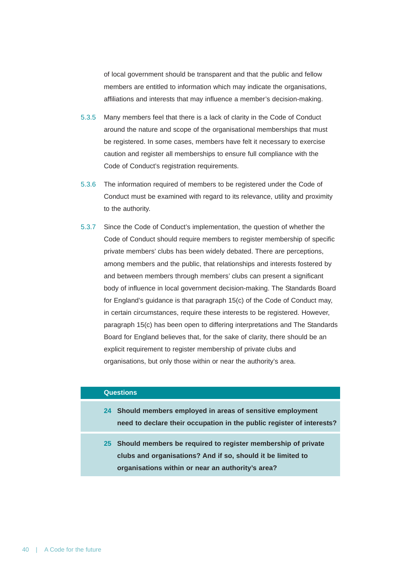of local government should be transparent and that the public and fellow members are entitled to information which may indicate the organisations, affiliations and interests that may influence a member's decision-making.

- 5.3.5 Many members feel that there is a lack of clarity in the Code of Conduct around the nature and scope of the organisational memberships that must be registered. In some cases, members have felt it necessary to exercise caution and register all memberships to ensure full compliance with the Code of Conduct's registration requirements.
- 5.3.6 The information required of members to be registered under the Code of Conduct must be examined with regard to its relevance, utility and proximity to the authority.
- 5.3.7 Since the Code of Conduct's implementation, the question of whether the Code of Conduct should require members to register membership of specific private members' clubs has been widely debated. There are perceptions, among members and the public, that relationships and interests fostered by and between members through members' clubs can present a significant body of influence in local government decision-making. The Standards Board for England's guidance is that paragraph 15(c) of the Code of Conduct may, in certain circumstances, require these interests to be registered. However, paragraph 15(c) has been open to differing interpretations and The Standards Board for England believes that, for the sake of clarity, there should be an explicit requirement to register membership of private clubs and organisations, but only those within or near the authority's area.

### **Questions**

- **24 Should members employed in areas of sensitive employment need to declare their occupation in the public register of interests?**
- **25 Should members be required to register membership of private clubs and organisations? And if so, should it be limited to organisations within or near an authority's area?**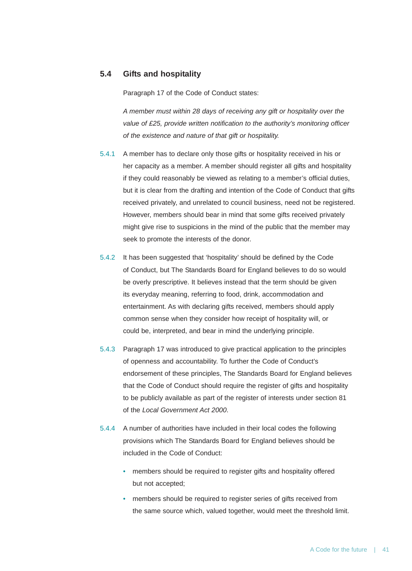# **5.4 Gifts and hospitality**

Paragraph 17 of the Code of Conduct states:

*A member must within 28 days of receiving any gift or hospitality over the value of £25, provide written notification to the authority's monitoring officer of the existence and nature of that gift or hospitality.*

- 5.4.1 A member has to declare only those gifts or hospitality received in his or her capacity as a member. A member should register all gifts and hospitality if they could reasonably be viewed as relating to a member's official duties, but it is clear from the drafting and intention of the Code of Conduct that gifts received privately, and unrelated to council business, need not be registered. However, members should bear in mind that some gifts received privately might give rise to suspicions in the mind of the public that the member may seek to promote the interests of the donor.
- 5.4.2 It has been suggested that 'hospitality' should be defined by the Code of Conduct, but The Standards Board for England believes to do so would be overly prescriptive. It believes instead that the term should be given its everyday meaning, referring to food, drink, accommodation and entertainment. As with declaring gifts received, members should apply common sense when they consider how receipt of hospitality will, or could be, interpreted, and bear in mind the underlying principle.
- 5.4.3 Paragraph 17 was introduced to give practical application to the principles of openness and accountability. To further the Code of Conduct's endorsement of these principles, The Standards Board for England believes that the Code of Conduct should require the register of gifts and hospitality to be publicly available as part of the register of interests under section 81 of the *Local Government Act 2000*.
- 5.4.4 A number of authorities have included in their local codes the following provisions which The Standards Board for England believes should be included in the Code of Conduct:
	- members should be required to register gifts and hospitality offered but not accepted;
	- members should be required to register series of gifts received from the same source which, valued together, would meet the threshold limit.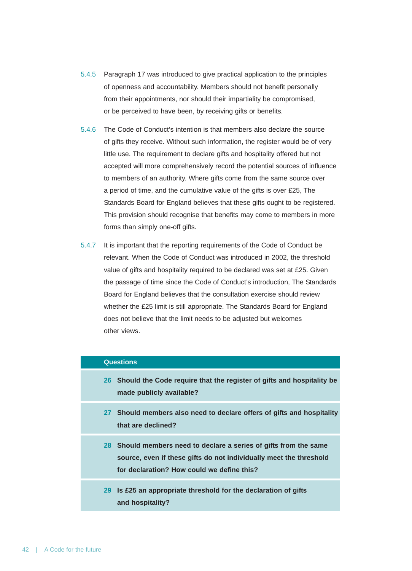- 5.4.5 Paragraph 17 was introduced to give practical application to the principles of openness and accountability. Members should not benefit personally from their appointments, nor should their impartiality be compromised, or be perceived to have been, by receiving gifts or benefits.
- 5.4.6 The Code of Conduct's intention is that members also declare the source of gifts they receive. Without such information, the register would be of very little use. The requirement to declare gifts and hospitality offered but not accepted will more comprehensively record the potential sources of influence to members of an authority. Where gifts come from the same source over a period of time, and the cumulative value of the gifts is over £25, The Standards Board for England believes that these gifts ought to be registered. This provision should recognise that benefits may come to members in more forms than simply one-off gifts.
- 5.4.7 It is important that the reporting requirements of the Code of Conduct be relevant. When the Code of Conduct was introduced in 2002, the threshold value of gifts and hospitality required to be declared was set at £25. Given the passage of time since the Code of Conduct's introduction, The Standards Board for England believes that the consultation exercise should review whether the £25 limit is still appropriate. The Standards Board for England does not believe that the limit needs to be adjusted but welcomes other views.

#### **Questions**

- **26 Should the Code require that the register of gifts and hospitality be made publicly available?**
- **27 Should members also need to declare offers of gifts and hospitality that are declined?**
- **28 Should members need to declare a series of gifts from the same source, even if these gifts do not individually meet the threshold for declaration? How could we define this?**
- **29 Is £25 an appropriate threshold for the declaration of gifts and hospitality?**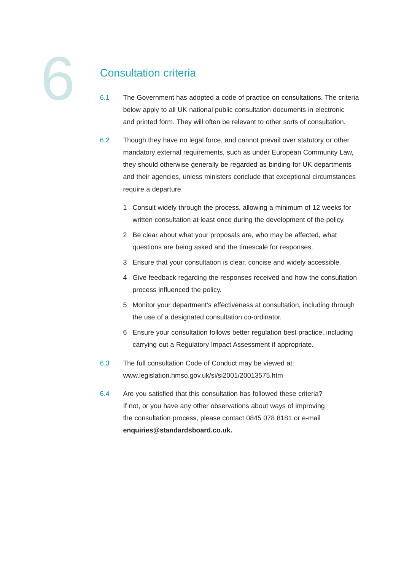# Consultation criteria

- 6.1 The Government has adopted a code of practice on consultations. The criteria below apply to all UK national public consultation documents in electronic and printed form. They will often be relevant to other sorts of consultation.
- 6.2 Though they have no legal force, and cannot prevail over statutory or other mandatory external requirements, such as under European Community Law, they should otherwise generally be regarded as binding for UK departments and their agencies, unless ministers conclude that exceptional circumstances require a departure.
	- 1 Consult widely through the process, allowing a minimum of 12 weeks for written consultation at least once during the development of the policy.
	- 2 Be clear about what your proposals are, who may be affected, what questions are being asked and the timescale for responses.
	- 3 Ensure that your consultation is clear, concise and widely accessible.
	- 4 Give feedback regarding the responses received and how the consultation process influenced the policy.
	- 5 Monitor your department's effectiveness at consultation, including through the use of a designated consultation co-ordinator.
	- 6 Ensure your consultation follows better regulation best practice, including carrying out a Regulatory Impact Assessment if appropriate.
- 6.3 The full consultation Code of Conduct may be viewed at: www.legislation.hmso.gov.uk/si/si2001/20013575.htm
- 6.4 Are you satisfied that this consultation has followed these criteria? If not, or you have any other observations about ways of improving the consultation process, please contact 0845 078 8181 or e-mail **enquiries@standardsboard.co.uk.**